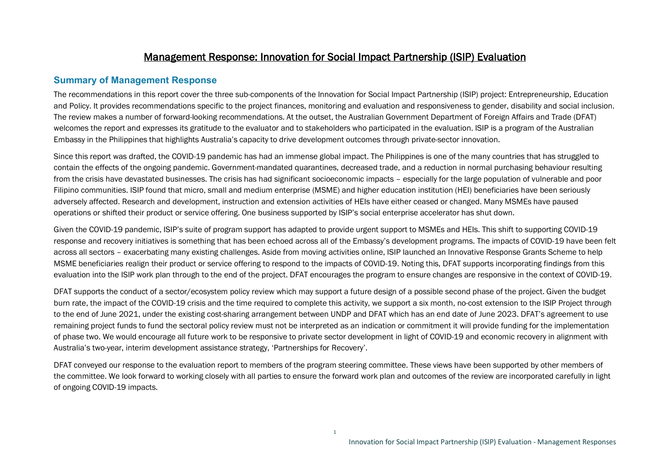### Management Response: Innovation for Social Impact Partnership (ISIP) Evaluation

### **Summary of Management Response**

The recommendations in this report cover the three sub-components of the Innovation for Social Impact Partnership (ISIP) project: Entrepreneurship, Education and Policy. It provides recommendations specific to the project finances, monitoring and evaluation and responsiveness to gender, disability and social inclusion. The review makes a number of forward-looking recommendations. At the outset, the Australian Government Department of Foreign Affairs and Trade (DFAT) welcomes the report and expresses its gratitude to the evaluator and to stakeholders who participated in the evaluation. ISIP is a program of the Australian Embassy in the Philippines that highlights Australia's capacity to drive development outcomes through private-sector innovation.

Since this report was drafted, the COVID-19 pandemic has had an immense global impact. The Philippines is one of the many countries that has struggled to contain the effects of the ongoing pandemic. Government-mandated quarantines, decreased trade, and a reduction in normal purchasing behaviour resulting from the crisis have devastated businesses. The crisis has had significant socioeconomic impacts – especially for the large population of vulnerable and poor Filipino communities. ISIP found that micro, small and medium enterprise (MSME) and higher education institution (HEI) beneficiaries have been seriously adversely affected. Research and development, instruction and extension activities of HEIs have either ceased or changed. Many MSMEs have paused operations or shifted their product or service offering. One business supported by ISIP's social enterprise accelerator has shut down.

Given the COVID-19 pandemic, ISIP's suite of program support has adapted to provide urgent support to MSMEs and HEIs. This shift to supporting COVID-19 response and recovery initiatives is something that has been echoed across all of the Embassy's development programs. The impacts of COVID-19 have been felt across all sectors – exacerbating many existing challenges. Aside from moving activities online, ISIP launched an Innovative Response Grants Scheme to help MSME beneficiaries realign their product or service offering to respond to the impacts of COVID-19. Noting this, DFAT supports incorporating findings from this evaluation into the ISIP work plan through to the end of the project. DFAT encourages the program to ensure changes are responsive in the context of COVID-19.

DFAT supports the conduct of a sector/ecosystem policy review which may support a future design of a possible second phase of the project. Given the budget burn rate, the impact of the COVID-19 crisis and the time required to complete this activity, we support a six month, no-cost extension to the ISIP Project through to the end of June 2021, under the existing cost-sharing arrangement between UNDP and DFAT which has an end date of June 2023. DFAT's agreement to use remaining project funds to fund the sectoral policy review must not be interpreted as an indication or commitment it will provide funding for the implementation of phase two. We would encourage all future work to be responsive to private sector development in light of COVID-19 and economic recovery in alignment with Australia's two-year, interim development assistance strategy, 'Partnerships for Recovery'.

DFAT conveyed our response to the evaluation report to members of the program steering committee. These views have been supported by other members of the committee. We look forward to working closely with all parties to ensure the forward work plan and outcomes of the review are incorporated carefully in light of ongoing COVID-19 impacts.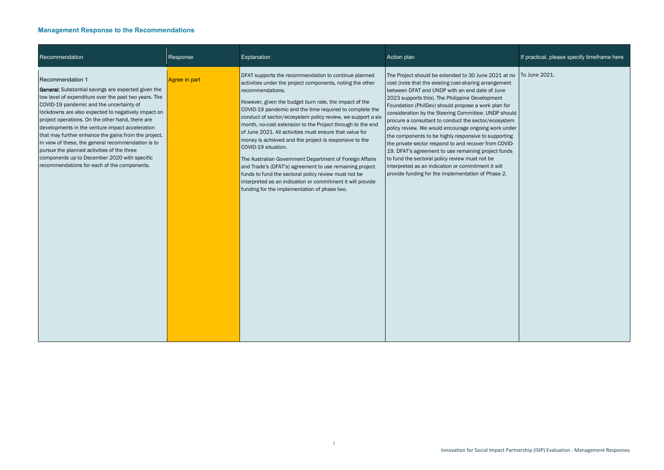| Recommendation                                                                                                                                                                                                                                                                                                                                                                                                                                                                                                                                                                                               | Response      | Explanation                                                                                                                                                                                                                                                                                                                                                                                                                                                                                                                                                                                                                                                                                                                                                                                                                     | Action plan                                                                                                                                                                                                                                                                                                                                                                                                                                                                                                                                                                                                                                                                                                                                                                             | If practical, please specify timeframe here |
|--------------------------------------------------------------------------------------------------------------------------------------------------------------------------------------------------------------------------------------------------------------------------------------------------------------------------------------------------------------------------------------------------------------------------------------------------------------------------------------------------------------------------------------------------------------------------------------------------------------|---------------|---------------------------------------------------------------------------------------------------------------------------------------------------------------------------------------------------------------------------------------------------------------------------------------------------------------------------------------------------------------------------------------------------------------------------------------------------------------------------------------------------------------------------------------------------------------------------------------------------------------------------------------------------------------------------------------------------------------------------------------------------------------------------------------------------------------------------------|-----------------------------------------------------------------------------------------------------------------------------------------------------------------------------------------------------------------------------------------------------------------------------------------------------------------------------------------------------------------------------------------------------------------------------------------------------------------------------------------------------------------------------------------------------------------------------------------------------------------------------------------------------------------------------------------------------------------------------------------------------------------------------------------|---------------------------------------------|
| Recommendation 1<br><b>General:</b> Substantial savings are expected given the<br>low level of expenditure over the past two years. The<br>COVID-19 pandemic and the uncertainty of<br>lockdowns are also expected to negatively impact on<br>project operations. On the other hand, there are<br>developments in the venture impact acceleration<br>that may further enhance the gains from the project.<br>In view of these, the general recommendation is to<br>pursue the planned activities of the three<br>components up to December 2020 with specific<br>recommendations for each of the components. | Agree in part | DFAT supports the recommendation to continue planned<br>activities under the project components, noting the other<br>recommendations.<br>However, given the budget burn rate, the impact of the<br>COVID-19 pandemic and the time required to complete the<br>conduct of sector/ecosystem policy review, we support a six<br>month, no-cost extension to the Project through to the end<br>of June 2021. All activities must ensure that value for<br>money is achieved and the project is responsive to the<br>COVID-19 situation.<br>The Australian Government Department of Foreign Affairs<br>and Trade's (DFAT's) agreement to use remaining project<br>funds to fund the sectoral policy review must not be<br>interpreted as an indication or commitment it will provide<br>funding for the implementation of phase two. | The Project should be extended to 30 June 2021 at no<br>cost (note that the existing cost-sharing arrangement<br>between DFAT and UNDP with an end date of June<br>2023 supports this). The Philippine Development<br>Foundation (PhilDev) should propose a work plan for<br>consideration by the Steering Committee. UNDP should<br>procure a consultant to conduct the sector/ecosystem<br>policy review. We would encourage ongoing work under<br>the components to be highly responsive to supporting<br>the private sector respond to and recover from COVID-<br>19. DFAT's agreement to use remaining project funds<br>to fund the sectoral policy review must not be<br>interpreted as an indication or commitment it will<br>provide funding for the implementation of Phase 2. | To June 2021.                               |

|                                                                                                                 | If practical, please specify timeframe here |
|-----------------------------------------------------------------------------------------------------------------|---------------------------------------------|
| . at no<br>nent<br>۱e<br>t<br>n for<br>should<br>ystem<br>under<br>orting<br>OVID-<br>unds<br>$\mathsf I$<br>2. | To June 2021.                               |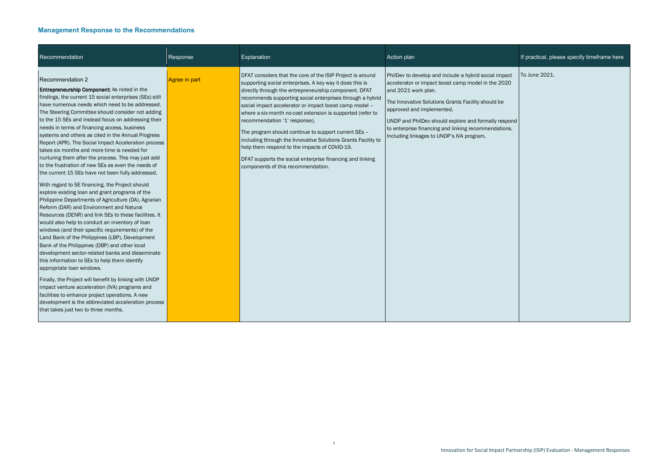| Recommendation                                                                                                                                                                                                                                                                                                                                                                                                                                                                                                                                                                                                                                                                                                                                                                                                                                                                                                                                                                                                                                                                                                                                                                                                                                                                                                                                                                                                                                                                                                                                                 | Response      | Explanation                                                                                                                                                                                                                                                                                                                                                                                                                                                                                                                                                                                                                                                                        | Action plan                                                                                                                                                                                                                                                                                                                                                                        | If practical, please specify timeframe here |
|----------------------------------------------------------------------------------------------------------------------------------------------------------------------------------------------------------------------------------------------------------------------------------------------------------------------------------------------------------------------------------------------------------------------------------------------------------------------------------------------------------------------------------------------------------------------------------------------------------------------------------------------------------------------------------------------------------------------------------------------------------------------------------------------------------------------------------------------------------------------------------------------------------------------------------------------------------------------------------------------------------------------------------------------------------------------------------------------------------------------------------------------------------------------------------------------------------------------------------------------------------------------------------------------------------------------------------------------------------------------------------------------------------------------------------------------------------------------------------------------------------------------------------------------------------------|---------------|------------------------------------------------------------------------------------------------------------------------------------------------------------------------------------------------------------------------------------------------------------------------------------------------------------------------------------------------------------------------------------------------------------------------------------------------------------------------------------------------------------------------------------------------------------------------------------------------------------------------------------------------------------------------------------|------------------------------------------------------------------------------------------------------------------------------------------------------------------------------------------------------------------------------------------------------------------------------------------------------------------------------------------------------------------------------------|---------------------------------------------|
| Recommendation 2<br><b>Entrepreneurship Component:</b> As noted in the<br>findings, the current 15 social enterprises (SEs) still<br>have numerous needs which need to be addressed.<br>The Steering Committee should consider not adding<br>to the 15 SEs and instead focus on addressing their<br>needs in terms of financing access, business<br>systems and others as cited in the Annual Progress<br>Report (APR). The Social Impact Acceleration process<br>takes six months and more time is needed for<br>nurturing them after the process. This may just add<br>to the frustration of new SEs as even the needs of<br>the current 15 SEs have not been fully addressed.<br>With regard to SE financing, the Project should<br>explore existing loan and grant programs of the<br>Philippine Departments of Agriculture (DA), Agrarian<br>Reform (DAR) and Environment and Natural<br>Resources (DENR) and link SEs to these facilities. It<br>would also help to conduct an inventory of loan<br>windows (and their specific requirements) of the<br>Land Bank of the Philippines (LBP), Development<br>Bank of the Philippines (DBP) and other local<br>development sector-related banks and disseminate<br>this information to SEs to help them identify<br>appropriate loan windows.<br>Finally, the Project will benefit by linking with UNDP<br>impact venture acceleration (IVA) programs and<br>facilities to enhance project operations. A new<br>development is the abbreviated acceleration process<br>that takes just two to three months. | Agree in part | DFAT considers that the core of the ISIP Project is around<br>supporting social enterprises. A key way it does this is<br>directly through the entrepreneurship component. DFAT<br>recommends supporting social enterprises through a hybrid<br>social impact accelerator or impact boost camp model -<br>where a six-month no-cost extension is supported (refer to<br>recommendation '1' response),<br>The program should continue to support current SEs -<br>including through the Innovative Solutions Grants Facility to<br>help them respond to the impacts of COVID-19.<br>DFAT supports the social enterprise financing and linking<br>components of this recommendation. | PhilDev to develop and include a hybrid social impact<br>accelerator or impact boost camp model in the 2020<br>and 2021 work plan.<br>The Innovative Solutions Grants Facility should be<br>approved and implemented.<br>UNDP and PhilDev should explore and formally respond<br>to enterprise financing and linking recommendations.<br>Including linkages to UNDP's IVA program, | To June 2021.                               |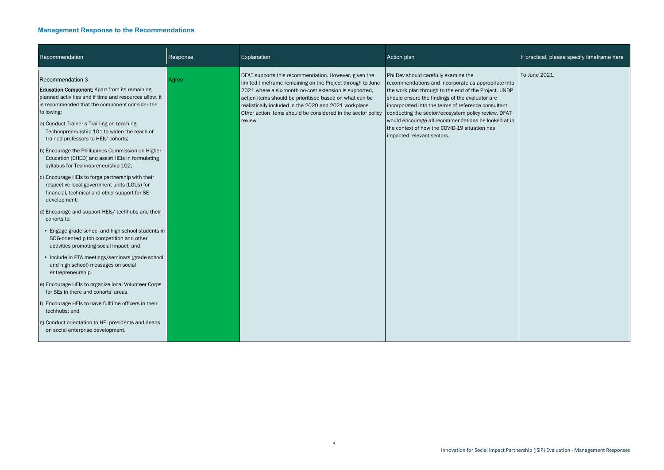4

| Recommendation                                                                                                                                                                                                                                                                                                                                                                                                                                                                                                                                                                                                                                                                                                                                                                                                                                                                                                                                                                                                                                                                                                                                                                                                                                                 | Response | Explanation                                                                                                                                                                                                                                                                                                                                                                   | Action plan                                                                                                                                                                                                                                                                                                                                                                                                                                                 | If practical, please specify timeframe here |
|----------------------------------------------------------------------------------------------------------------------------------------------------------------------------------------------------------------------------------------------------------------------------------------------------------------------------------------------------------------------------------------------------------------------------------------------------------------------------------------------------------------------------------------------------------------------------------------------------------------------------------------------------------------------------------------------------------------------------------------------------------------------------------------------------------------------------------------------------------------------------------------------------------------------------------------------------------------------------------------------------------------------------------------------------------------------------------------------------------------------------------------------------------------------------------------------------------------------------------------------------------------|----------|-------------------------------------------------------------------------------------------------------------------------------------------------------------------------------------------------------------------------------------------------------------------------------------------------------------------------------------------------------------------------------|-------------------------------------------------------------------------------------------------------------------------------------------------------------------------------------------------------------------------------------------------------------------------------------------------------------------------------------------------------------------------------------------------------------------------------------------------------------|---------------------------------------------|
| Recommendation 3<br><b>Education Component:</b> Apart from its remaining<br>planned activities and if time and resources allow, it<br>is recommended that the component consider the<br>following:<br>a) Conduct Trainer's Training on teaching<br>Technopreneurship 101 to widen the reach of<br>trained professors to HEIs' cohorts;<br>b) Encourage the Philippines Commission on Higher<br>Education (CHED) and assist HEIs in formulating<br>syllabus for Technopreneurship 102;<br>c) Encourage HEIs to forge partnership with their<br>respective local government units (LGUs) for<br>financial, technical and other support for SE<br>development;<br>d) Encourage and support HEIs/ techhubs and their<br>cohorts to:<br>• Engage grade school and high school students in<br>SDG-oriented pitch competition and other<br>activities promoting social impact; and<br>• Include in PTA meetings/seminars (grade school<br>and high school) messages on social<br>entrepreneurship.<br>e) Encourage HEIs to organize local Volunteer Corps<br>for SEs in there and cohorts' areas.<br>f) Encourage HEIs to have fulltime officers in their<br>techhubs; and<br>g) Conduct orientation to HEI presidents and deans<br>on social enterprise development. | Agree    | DFAT supports this recommendation. However, given the<br>limited timeframe remaining on the Project through to June<br>2021 where a six-month no-cost extension is supported,<br>action items should be prioritised based on what can be<br>realistically included in the 2020 and 2021 workplans.<br>Other action items should be considered in the sector policy<br>review. | PhilDev should carefully examine the<br>recommendations and incorporate as appropriate into<br>the work plan through to the end of the Project. UNDP<br>should ensure the findings of the evaluator are<br>incorporated into the terms of reference consultant<br>conducting the sector/ecosystem policy review. DFAT<br>would encourage all recommendations be looked at in<br>the context of how the COVID-19 situation has<br>impacted relevant sectors. | To June 2021.                               |

|                                                       | If practical, please specify timeframe here |
|-------------------------------------------------------|---------------------------------------------|
| e into<br><b>JNDP</b><br>ant<br><b>PAT</b><br>l at in | To June 2021.                               |
|                                                       |                                             |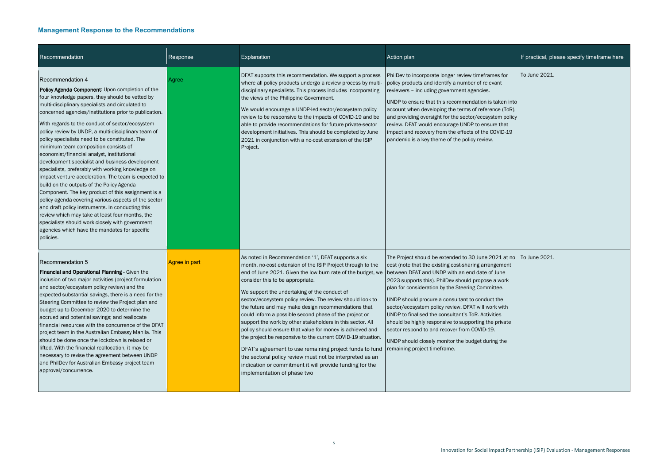| Recommendation                                                                                                                                                                                                                                                                                                                                                                                                                                                                                                                                                                                                                                                                                                                                                                                                                                                                                                                                                                                                                                  | Response      | Explanation                                                                                                                                                                                                                                                                                                                                                                                                                                                                                                                                                                                                                                                                                                                                                                                                                                                      | Action plan                                                                                                                                                                                                                                                                                                                                                                                                                                                                                                                                                                                                                              | If practical, please specify timeframe here |
|-------------------------------------------------------------------------------------------------------------------------------------------------------------------------------------------------------------------------------------------------------------------------------------------------------------------------------------------------------------------------------------------------------------------------------------------------------------------------------------------------------------------------------------------------------------------------------------------------------------------------------------------------------------------------------------------------------------------------------------------------------------------------------------------------------------------------------------------------------------------------------------------------------------------------------------------------------------------------------------------------------------------------------------------------|---------------|------------------------------------------------------------------------------------------------------------------------------------------------------------------------------------------------------------------------------------------------------------------------------------------------------------------------------------------------------------------------------------------------------------------------------------------------------------------------------------------------------------------------------------------------------------------------------------------------------------------------------------------------------------------------------------------------------------------------------------------------------------------------------------------------------------------------------------------------------------------|------------------------------------------------------------------------------------------------------------------------------------------------------------------------------------------------------------------------------------------------------------------------------------------------------------------------------------------------------------------------------------------------------------------------------------------------------------------------------------------------------------------------------------------------------------------------------------------------------------------------------------------|---------------------------------------------|
| <b>Recommendation 4</b><br>Policy Agenda Component: Upon completion of the<br>four knowledge papers, they should be vetted by<br>multi-disciplinary specialists and circulated to<br>concerned agencies/institutions prior to publication.<br>With regards to the conduct of sector/ecosystem<br>policy review by UNDP, a multi-disciplinary team of<br>policy specialists need to be constituted. The<br>minimum team composition consists of<br>economist/financial analyst, institutional<br>development specialist and business development<br>specialists, preferably with working knowledge on<br>impact venture acceleration. The team is expected to<br>build on the outputs of the Policy Agenda<br>Component. The key product of this assignment is a<br>policy agenda covering various aspects of the sector<br>and draft policy instruments. In conducting this<br>review which may take at least four months, the<br>specialists should work closely with government<br>agencies which have the mandates for specific<br>policies. | Agree         | DFAT supports this recommendation. We support a process<br>where all policy products undergo a review process by multi-<br>disciplinary specialists. This process includes incorporating<br>the views of the Philippine Government.<br>We would encourage a UNDP-led sector/ecosystem policy<br>review to be responsive to the impacts of COVID-19 and be<br>able to provide recommendations for future private-sector<br>development initiatives. This should be completed by June<br>2021 in conjunction with a no-cost extension of the ISIP<br>Project.                                                                                                                                                                                                                                                                                                      | PhilDev to incorporate longer review timeframes for<br>policy products and identify a number of relevant<br>reviewers - including government agencies.<br>UNDP to ensure that this recommendation is taken into<br>account when developing the terms of reference (ToR),<br>and providing oversight for the sector/ecosystem policy<br>review. DFAT would encourage UNDP to ensure that<br>impact and recovery from the effects of the COVID-19<br>pandemic is a key theme of the policy review.                                                                                                                                         | To June 2021.                               |
| Recommendation 5<br>Financial and Operational Planning - Given the<br>inclusion of two major activities (project formulation<br>and sector/ecosystem policy review) and the<br>expected substantial savings, there is a need for the<br>Steering Committee to review the Project plan and<br>budget up to December 2020 to determine the<br>accrued and potential savings; and reallocate<br>financial resources with the concurrence of the DFAT<br>project team in the Australian Embassy Manila. This<br>should be done once the lockdown is relaxed or<br>lifted. With the financial reallocation, it may be<br>necessary to revise the agreement between UNDP<br>and PhilDev for Australian Embassy project team<br>approval/concurrence.                                                                                                                                                                                                                                                                                                  | Agree in part | As noted in Recommendation '1', DFAT supports a six<br>month, no-cost extension of the ISIP Project through to the<br>end of June 2021. Given the low burn rate of the budget, we<br>consider this to be appropriate.<br>We support the undertaking of the conduct of<br>sector/ecosystem policy review. The review should look to<br>the future and may make design recommendations that<br>could inform a possible second phase of the project or<br>support the work by other stakeholders in this sector. All<br>policy should ensure that value for money is achieved and<br>the project be responsive to the current COVID-19 situation.<br>DFAT's agreement to use remaining project funds to fund<br>the sectoral policy review must not be interpreted as an<br>indication or commitment it will provide funding for the<br>implementation of phase two | The Project should be extended to 30 June 2021 at no<br>cost (note that the existing cost-sharing arrangement<br>between DFAT and UNDP with an end date of June<br>2023 supports this). PhilDev should propose a work<br>plan for consideration by the Steering Committee.<br>UNDP should procure a consultant to conduct the<br>sector/ecosystem policy review. DFAT will work with<br>UNDP to finalised the consultant's ToR. Activities<br>should be highly responsive to supporting the private<br>sector respond to and recover from COVID-19.<br>UNDP should closely monitor the budget during the<br>remaining project timeframe. | To June 2021.                               |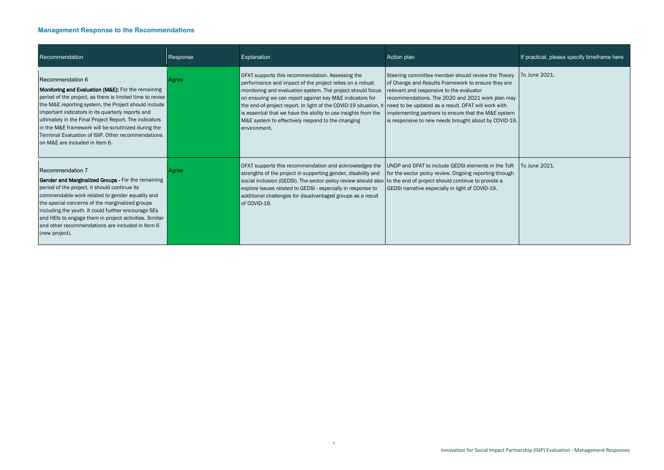6

| Recommendation                                                                                                                                                                                                                                                                                                                                                                                                                                                       | Response | Explanation                                                                                                                                                                                                                                                                                                                                                                                                                                                                                            | Action plan                                                                                                                                                                                                                                                                                                              | If practical, please specify timeframe here |
|----------------------------------------------------------------------------------------------------------------------------------------------------------------------------------------------------------------------------------------------------------------------------------------------------------------------------------------------------------------------------------------------------------------------------------------------------------------------|----------|--------------------------------------------------------------------------------------------------------------------------------------------------------------------------------------------------------------------------------------------------------------------------------------------------------------------------------------------------------------------------------------------------------------------------------------------------------------------------------------------------------|--------------------------------------------------------------------------------------------------------------------------------------------------------------------------------------------------------------------------------------------------------------------------------------------------------------------------|---------------------------------------------|
| Recommendation 6<br><b>Monitoring and Evaluation (M&amp;E):</b> For the remaining<br>period of the project, as there is limited time to revise<br>the M&E reporting system, the Project should include<br>important indicators in its quarterly reports and<br>ultimately in the Final Project Report. The indicators<br>in the M&E framework will be scrutinized during the<br>Terminal Evaluation of ISIP. Other recommendations<br>on M&E are included in Item 6. | Agree    | DFAT supports this recommendation. Assessing the<br>performance and impact of the project relies on a robust<br>monitoring and evaluation system. The project should focus<br>on ensuring we can report against key M&E indicators for<br>the end-of-project report. In light of the COVID-19 situation, it need to be updated as a result. DFAT will work with<br>is essential that we have the ability to use insights from the<br>M&E system to effectively respond to the changing<br>environment. | Steering committee member should review the Theory<br>of Change and Results Framework to ensure they are<br>relevant and responsive to the evaluator<br>recommendations. The 2020 and 2021 work plan may<br>implementing partners to ensure that the M&E system<br>is responsive to new needs brought about by COVID-19. | To June 2021.                               |
| Recommendation 7<br><b>Gender and Marginalized Groups - For the remaining</b><br>period of the project, it should continue its<br>commendable work related to gender equality and<br>the special concerns of the marginalized groups<br>including the youth. It could further encourage SEs<br>and HEIs to engage them in project activities. Similar<br>and other recommendations are included in Item 6<br>(new project).                                          | Agree    | DFAT supports this recommendation and acknowledges the<br>strengths of the project in supporting gender, disability and<br>social inclusion (GEDSI). The sector policy review should also to the end of project should continue to provide a<br>explore issues related to GEDSI - especially in response to<br>additional challenges for disadvantaged groups as a result<br>of COVID-19.                                                                                                              | UNDP and DFAT to include GEDSI elements in the ToR<br>for the sector policy review. Ongoing reporting through<br>GEDSI narrative especially in light of COVID-19.                                                                                                                                                        | To June 2021.                               |